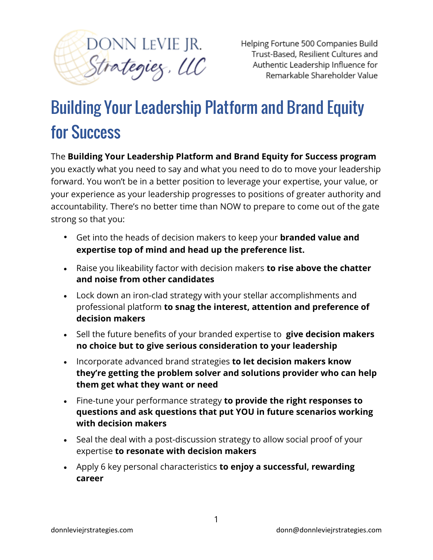

Helping Fortune 500 Companies Build Trust-Based, Resilient Cultures and Authentic Leadership Influence for Remarkable Shareholder Value

## Building Your Leadership Platform and Brand Equity for Success

The **Building Your Leadership Platform and Brand Equity for Success program**

you exactly what you need to say and what you need to do to move your leadership forward. You won't be in a better position to leverage your expertise, your value, or your experience as your leadership progresses to positions of greater authority and accountability. There's no better time than NOW to prepare to come out of the gate strong so that you:

- Get into the heads of decision makers to keep your **branded value and expertise top of mind and head up the preference list.**
- Raise you likeability factor with decision makers **to rise above the chatter and noise from other candidates**
- Lock down an iron-clad strategy with your stellar accomplishments and professional platform **to snag the interest, attention and preference of decision makers**
- Sell the future benefits of your branded expertise to **give decision makers no choice but to give serious consideration to your leadership**
- Incorporate advanced brand strategies **to let decision makers know they're getting the problem solver and solutions provider who can help them get what they want or need**
- Fine-tune your performance strategy **to provide the right responses to questions and ask questions that put YOU in future scenarios working with decision makers**
- Seal the deal with a post-discussion strategy to allow social proof of your expertise **to resonate with decision makers**
- Apply 6 key personal characteristics **to enjoy a successful, rewarding career**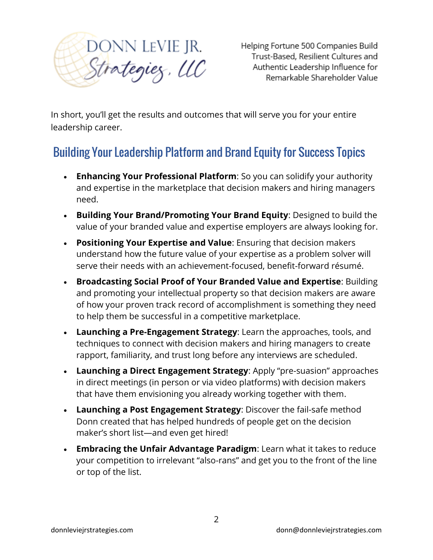

Helping Fortune 500 Companies Build Trust-Based, Resilient Cultures and Authentic Leadership Influence for Remarkable Shareholder Value

In short, you'll get the results and outcomes that will serve you for your entire leadership career.

## Building Your Leadership Platform and Brand Equity for Success Topics

- **Enhancing Your Professional Platform**: So you can solidify your authority and expertise in the marketplace that decision makers and hiring managers need.
- **Building Your Brand/Promoting Your Brand Equity**: Designed to build the value of your branded value and expertise employers are always looking for.
- **Positioning Your Expertise and Value**: Ensuring that decision makers understand how the future value of your expertise as a problem solver will serve their needs with an achievement-focused, benefit-forward résumé.
- **Broadcasting Social Proof of Your Branded Value and Expertise**: Building and promoting your intellectual property so that decision makers are aware of how your proven track record of accomplishment is something they need to help them be successful in a competitive marketplace.
- **Launching a Pre-Engagement Strategy**: Learn the approaches, tools, and techniques to connect with decision makers and hiring managers to create rapport, familiarity, and trust long before any interviews are scheduled.
- **Launching a Direct Engagement Strategy**: Apply "pre-suasion" approaches in direct meetings (in person or via video platforms) with decision makers that have them envisioning you already working together with them.
- **Launching a Post Engagement Strategy**: Discover the fail-safe method Donn created that has helped hundreds of people get on the decision maker's short list—and even get hired!
- **Embracing the Unfair Advantage Paradigm**: Learn what it takes to reduce your competition to irrelevant "also-rans" and get you to the front of the line or top of the list.